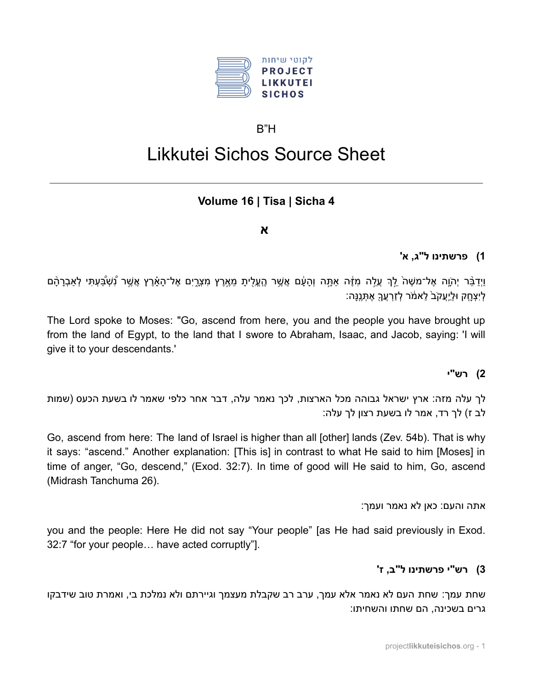

### $B''H$

# Likkutei Sichos Source Sheet

### Volume 16 | Tisa | Sicha 4

#### $\mathbf x$

### 1) פרשתינו ל"ג, א'

וַיִדַבֶּר יְהֹוֶה אֶל־משֶׁה לֵךְ עֲלֵה מְזֶה אַתָּה וְהָעֶ֫ם אֲשֶׁר הֶעֱלֶיתָ מֶאֱרֶץ מְצְרֶיִם אֶל־הָאָרֶץ אֲשֶׁר נְשְׁבֲּעִתִּי לְאַבְרָהָם ַלְיַצְחָק וּלְיָעֲקֹב´ לֵאמֹר לְזַרְעֲךָ אֶתְנֵנַּה:

The Lord spoke to Moses: "Go, ascend from here, you and the people you have brought up from the land of Egypt, to the land that I swore to Abraham, Isaac, and Jacob, saying: 'I will give it to your descendants.'

#### 1' רש"י

לך עלה מזה: ארץ ישראל גבוהה מכל הארצות. לכך נאמר עלה, דבר אחר כלפי שאמר לו בשעת הכעס (שמות לב ז) לך רד, אמר לו בשעת רצון לך עלה:

Go, ascend from here: The land of Israel is higher than all [other] lands (Zev. 54b). That is why it says: "ascend." Another explanation: [This is] in contrast to what He said to him [Moses] in time of anger, "Go, descend," (Exod. 32:7). In time of good will He said to him, Go, ascend (Midrash Tanchuma 26).

אתה והעם: כאן לא נאמר ועמך:

you and the people: Here He did not say "Your people" [as He had said previously in Exod. 32:7 "for your people... have acted corruptly"].

### 3) רש"י פרשתינו ל"ב, ז'

שחת עמר: שחת העם לא נאמר אלא עמר. ערב רב שקבלת מעצמר וגיירתם ולא נמלכת בי. ואמרת טוב שידבקו גרים בשכינה. הם שחתו והשחיתו: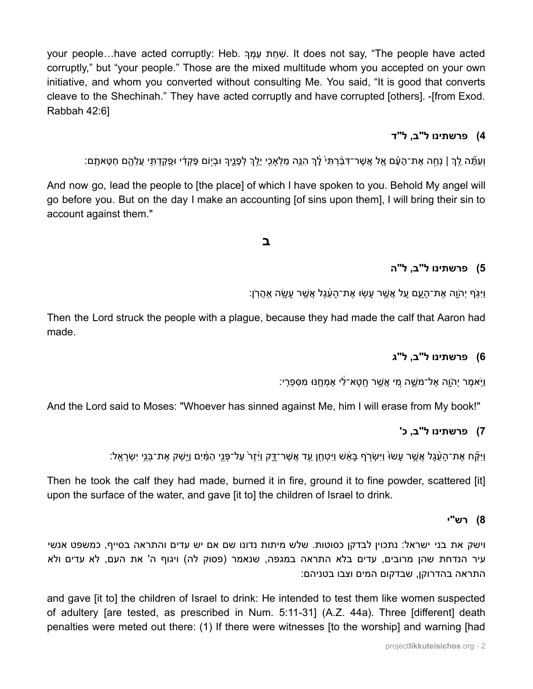your people…have acted corruptly: Heb. שְׁחת עַמְרְ .It does not say, "The people have acted corruptly," but "your people." Those are the mixed multitude whom you accepted on your own initiative, and whom you converted without consulting Me. You said, "It is good that converts cleave to the Shechinah." They have acted corruptly and have corrupted [others]. -[from Exod. Rabbah 42:6]

### **4( פרשתינו ל"ב, ל"ד**

וְעַתָּֿה לֵךְ | נְחֵה אֶת־הָעָם אֵל אֲשֶׁר־דְּבַּ֫רְתִּי לֵּךְ הִגֵּה מַלְאַכִי יֵלֶךְ לְפָנֵיךָ וּבִיוֹם פֶּקְדָי וּפָקַדְתָּי עֲלֵהֶם חַטָּאתָם:

And now go, lead the people to [the place] of which I have spoken to you. Behold My angel will go before you. But on the day I make an accounting [of sins upon them], I will bring their sin to account against them."

### **ב**

### **5( פרשתינו ל"ב, ל"ה**

וַיִּ $\kappa$ ֹף יְהֹוֶה אֶת־הַעָם עַל אֱשֶׁר עַשׂוּ אֶת־הַעֶּׁגֶל אֲשֶׁר עַשָׂה אֲהֵרֹן:

Then the Lord struck the people with a plague, because they had made the calf that Aaron had made.

#### **6( פרשתינו ל"ב, ל"ג**

וַיֹּאמֶר יְהַוֶה אֶל־מַשֶׁה מֵי אֲשֵׁר חֲטָא־לִי אֶמְחֵנּוּ מְסִפְרִי:

And the Lord said to Moses: "Whoever has sinned against Me, him I will erase from My book!"

### **7( פרשתינו ל"ב, כ'**

וַיָּקָּח אֶת־הַעֲ֫גֵל אֵשֶׁר עַשׂוּ וַיִּשְׂרֹף בַּאֵ֫שׁ וַיִּטְחֵן עַד אֲשֶׁר־דֶּק וַיִּזֵר עַל־פָּנֵי הַמִּ֫יִם וַיִּשָׁק אֶת־בָּנֵי יִשְׂרַאֵל:

Then he took the calf they had made, burned it in fire, ground it to fine powder, scattered [it] upon the surface of the water, and gave [it to] the children of Israel to drink.

#### **8( רש"י**

וישק את בני ישראל: נתכוין לבדקן כסוטות. שלש מיתות נדונו שם אם יש עדים והתראה בסייף, כמשפט אנשי עיר הנדחת שהן מרובים, עדים בלא התראה במגפה, שנאמר (פסוק לה) ויגוף ה' את העם, לא עדים ולא התראה בהדרוקן, שבדקום המים וצבו בטניהם:

and gave [it to] the children of Israel to drink: He intended to test them like women suspected of adultery [are tested, as prescribed in Num. 5:11-31] (A.Z. 44a). Three [different] death penalties were meted out there: (1) If there were witnesses [to the worship] and warning [had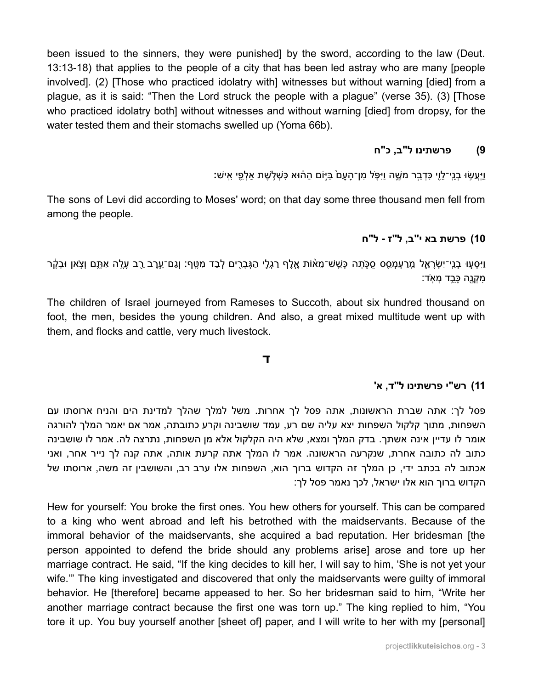been issued to the sinners, they were punished by the sword, according to the law (Deut. 13:13-18) that applies to the people of a city that has been led astray who are many [people involved]. (2) [Those who practiced idolatry with] witnesses but without warning [died] from a plaque, as it is said: "Then the Lord struck the people with a plaque" (verse 35). (3) [Those who practiced idolatry both] without witnesses and without warning [died] from dropsy, for the water tested them and their stomachs swelled up (Yoma 66b).

#### פרשתינו ל"ב. כ"ח  $(9)$

וַיַּעֲשׂוּ בְנֵי־לֵוֵי כִּדְבֵר מַשֵׁה וַיִּפָּל מִן־הַעֲם בַּיִּוֹם הַהוֹּא כָּשָׁלְשֶׁת אַלְפֵי אֵישׁ:

The sons of Levi did according to Moses' word; on that day some three thousand men fell from among the people.

### 10) פרשת בא י"ב, ל"ז - ל"ח

וַיִּסְעָוּ בְנֵי־יִשְׂרָאֱל מֵרַעְמָסֵס סָכָּתָה כָּשֵׁשֹׁ־מֵאוֹת אֱלֵף רַגְלֵי הַגְּבַרִים לְבַד מַטֵּף: וְגַם־עֶרֶב רֶב עֵלֶה אָתָּם וְצִאן וּבָקֵר מִקְנֵה כַּבֵד מְאִד:

The children of Israel journeyed from Rameses to Succoth, about six hundred thousand on foot, the men, besides the young children. And also, a great mixed multitude went up with them, and flocks and cattle, very much livestock.

#### $\mathbf{T}$

#### 11) רש"י פרשתינו ל"ד, א'

פסל לך: אתה שברת הראשונות, אתה פסל לך אחרות. משל למלך שהלך למדינת הים והניח ארוסתו עם השפחות, מתוך קלקול השפחות יצא עליה שם רע, עמד שושבינה וקרע כתובתה, אמר אם יאמר המלך להורגה אומר לו עדיין אינה אשתך. בדק המלך ומצא, שלא היה הקלקול אלא מן השפחות, נתרצה לה. אמר לו שושבינה כתוב לה כתובה אחרת, שנקרעה הראשונה. אמר לו המלך אתה קרעת אותה, אתה קנה לך נייר אחר, ואני אכתוב לה בכתב ידי, כן המלך זה הקדוש ברוך הוא, השפחות אלו ערב רב, והשושבין זה משה, ארוסתו של הקדוש ברוך הוא אלו ישראל, לכך נאמר פסל לך:

Hew for yourself: You broke the first ones. You hew others for yourself. This can be compared to a king who went abroad and left his betrothed with the maidservants. Because of the immoral behavior of the maidservants, she acquired a bad reputation. Her bridesman [the person appointed to defend the bride should any problems arise] arose and tore up her marriage contract. He said, "If the king decides to kill her, I will say to him, 'She is not yet your wife." The king investigated and discovered that only the maidservants were guilty of immoral behavior. He [therefore] became appeased to her. So her bridesman said to him, "Write her another marriage contract because the first one was torn up." The king replied to him, "You tore it up. You buy yourself another [sheet of] paper, and I will write to her with my [personal]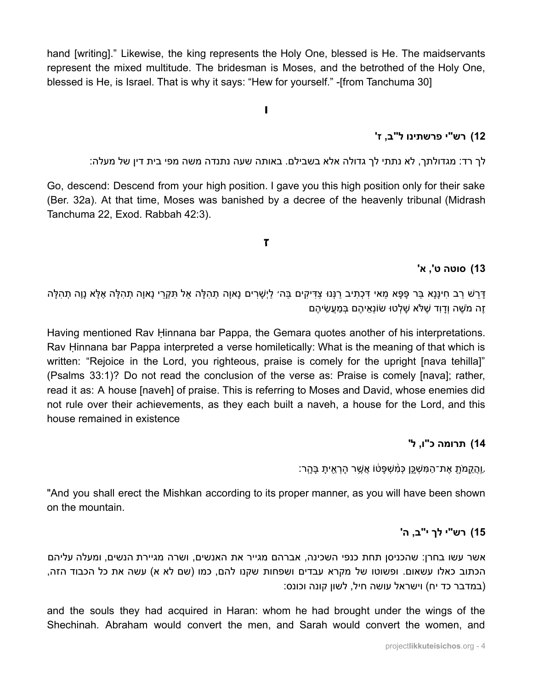hand [writing]." Likewise, the king represents the Holy One, blessed is He. The maidservants represent the mixed multitude. The bridesman is Moses, and the betrothed of the Holy One, blessed is He, is Israel. That is why it says: "Hew for yourself." -[from Tanchuma 30]

**ו**

#### **12( רש"י פרשתינו ל"ב, ז'**

לך רד: מגדולתך, לא נתתי לך גדולה אלא בשבילם. באותה שעה נתנדה משה מפי בית דין של מעלה:

Go, descend: Descend from your high position. I gave you this high position only for their sake (Ber. 32a). At that time, Moses was banished by a decree of the heavenly tribunal (Midrash Tanchuma 22, Exod. Rabbah 42:3).

#### **ז**

#### **13( סוטה ט', א'**

ַּדְּרָשׁ רַב חִינַּנַא בַּר פַּפָּא מַאי דִּכְתִיב רַנְּנוּ צַדִּיקִים בַּה׳ לַיְשַׁרִים נַאוַה תְהַלֵּה וָאמֹל הַקְרֵי נַאוַה תְהָלֵה אֶלֵּא נַוֶה תְהַלַּה ָזָה מֹשֶׁה וְדַוִד שֶׁלֹּא שַׁלְטוּ שׂוֹנְאֵיהֶם בְּמַעֲשִׂיהֶם

Having mentioned Rav Ḥinnana bar Pappa, the Gemara quotes another of his interpretations. Rav Ḥinnana bar Pappa interpreted a verse homiletically: What is the meaning of that which is written: "Rejoice in the Lord, you righteous, praise is comely for the upright [nava tehilla]" (Psalms 33:1)? Do not read the conclusion of the verse as: Praise is comely [nava]; rather, read it as: A house [naveh] of praise. This is referring to Moses and David, whose enemies did not rule over their achievements, as they each built a naveh, a house for the Lord, and this house remained in existence

#### **14( תרומה כ"ו, ל'**

ַוְהֲקֵמֹּתָ אֶת־הַמְּשָׁכֵֵן כְּמְׁשִׁפָּטֹו אֲשֶׁר הָרְאֵיתָ בָּהָר:

"And you shall erect the Mishkan according to its proper manner, as you will have been shown on the mountain.

#### **15( רש"י לך י"ב, ה'**

אשר עשו בחרן: שהכניסן תחת כנפי השכינה, אברהם מגייר את האנשים, ושרה מגיירת הנשים, ומעלה עליהם הכתוב כאלו עשאום. ופשוטו של מקרא עבדים ושפחות שקנו להם, כמו (שם לא א) עשה את כל הכבוד הזה, (במדבר כד יח) וישראל עושה חיל, לשון קונה וכונס:

and the souls they had acquired in Haran: whom he had brought under the wings of the Shechinah. Abraham would convert the men, and Sarah would convert the women, and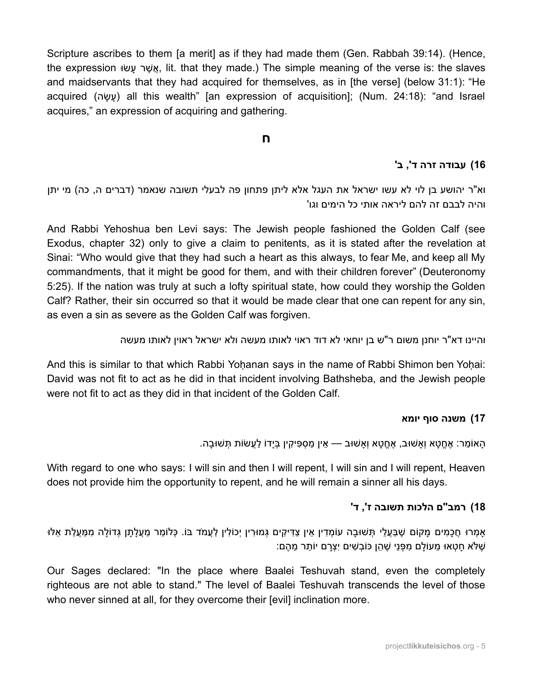Scripture ascribes to them [a merit] as if they had made them (Gen. Rabbah 39:14). (Hence, the expression וּאשׂר עשׂוּ, lit. that they made.) The simple meaning of the verse is: the slaves and maidservants that they had acquired for themselves, as in [the verse] (below 31:1): "He acquired (עשׂה) all this wealth" [an expression of acquisition]; (Num. 24:18): "and Israel acquires," an expression of acquiring and gathering.

#### **ח**

### **16( עבודה זרה ד', ב'**

וא"ר יהושע בן לוי לא עשו ישראל את העגל אלא ליתן פתחון פה לבעלי תשובה שנאמר (דברים ה, כה) מי יתן והיה לבבם זה להם ליראה אותי כל הימים וגו'

And Rabbi Yehoshua ben Levi says: The Jewish people fashioned the Golden Calf (see Exodus, chapter 32) only to give a claim to penitents, as it is stated after the revelation at Sinai: "Who would give that they had such a heart as this always, to fear Me, and keep all My commandments, that it might be good for them, and with their children forever" (Deuteronomy 5:25). If the nation was truly at such a lofty spiritual state, how could they worship the Golden Calf? Rather, their sin occurred so that it would be made clear that one can repent for any sin, as even a sin as severe as the Golden Calf was forgiven.

#### והיינו דא"ר יוחנן משום ר"ש בן יוחאי לא דוד ראוי לאותו מעשה ולא ישראל ראוין לאותו מעשה

And this is similar to that which Rabbi Yohanan says in the name of Rabbi Shimon ben Yohai: David was not fit to act as he did in that incident involving Bathsheba, and the Jewish people were not fit to act as they did in that incident of the Golden Calf.

#### **17( משנה סוף יומא**

ָהָאוֹמֵר: אֶחֱטַא וְאַשׁוּב, אֶחֱטָא וְאָשׁוּב — אֵין מַסְפִּיקִין בְּיָדוֹ לַעֲשׂוֹת תְּשׁוּבָה.

With regard to one who says: I will sin and then I will repent, I will sin and I will repent, Heaven does not provide him the opportunity to repent, and he will remain a sinner all his days.

#### **18( רמב"ם הלכות תשובה ז', ד'**

ָאמְרוּ חֻכָמִים מַקוֹם שֶׁבַּעֲלֵי תְּשׁוּבָה עוֹמְדִין אֵין צַדִּיקִים גְּמוּרִין יְכוֹלִין לַעֲמֹד בּוֹ. כְּלוֹמַר מַעֲלַתַן גְּדוֹלֵה מִמַּעֲלַת אֵלּוּ ָּשֶׁלֹּא חֲטָאוּ מֵעוֹלֵם מִפְּנֵי שֶׁהֵן כּוֹבְשִׁים יִצְרַם יוֹתֵר מֵהֶם:

Our Sages declared: "In the place where Baalei Teshuvah stand, even the completely righteous are not able to stand." The level of Baalei Teshuvah transcends the level of those who never sinned at all, for they overcome their [evil] inclination more.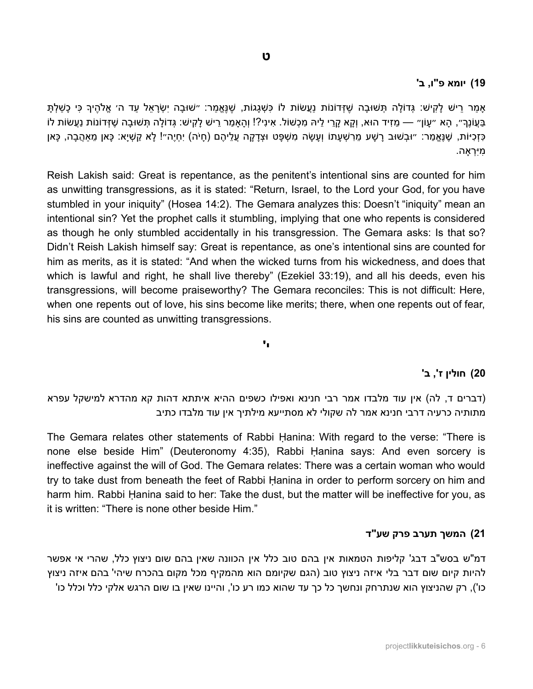#### **19( יומא פ"ו, ב'**

ָאמַר רֵישׁ לַקִישׁ: גְּדוֹלֵה תְּשׁוּבָה שֶׁזְּדוֹנוֹת נַעֲשׂוֹת לוֹ כִּשְׁגֲגוֹת, שֶׁנֵּאֱמַר: ״ֹשׁוּבַה יְשְׂרָאֵל עַד ה׳ אֱלֹהֶיךָ כִּי כַשַׁלְתַּ ַּבְּעֵוֹנֵךְ״, הָא ״עַוֹן״ — מֵזִיד הוּא, וְקֵא קַרִי לֵיהּ מִכְשׁוֹל. אִינִי?! וְהַאמַר רֵישׁ לַקִישׁ: גְּדוֹלַה תְּשׁוּבַה שֶׁזִּדוֹנוֹת נַעֲשׂוֹת לֹו ָּכְיִּוֹת, שֶׁנֵּאֱמַר: ״וּבְשׁוּב רַשָּׁע מֵרְשָׁעֲתוֹ וְעַשָּׂה מִשְׁפֵּט וּצְדַקָה עֱלֵיהֶם (חַיֹּה) יְחָיֶה״! לַא קַשְׁיַא: כָּאן מֵאהֶבַה, כָּאן ִמּיִ ְרָאה.

Reish Lakish said: Great is repentance, as the penitent's intentional sins are counted for him as unwitting transgressions, as it is stated: "Return, Israel, to the Lord your God, for you have stumbled in your iniquity" (Hosea 14:2). The Gemara analyzes this: Doesn't "iniquity" mean an intentional sin? Yet the prophet calls it stumbling, implying that one who repents is considered as though he only stumbled accidentally in his transgression. The Gemara asks: Is that so? Didn't Reish Lakish himself say: Great is repentance, as one's intentional sins are counted for him as merits, as it is stated: "And when the wicked turns from his wickedness, and does that which is lawful and right, he shall live thereby" (Ezekiel 33:19), and all his deeds, even his transgressions, will become praiseworthy? The Gemara reconciles: This is not difficult: Here, when one repents out of love, his sins become like merits; there, when one repents out of fear, his sins are counted as unwitting transgressions.

#### **י'**

#### **20( חולין ז', ב'**

(דברים ד, לה) אין עוד מלבדו אמר רבי חנינא ואפילו כשפים ההיא איתתא דהות קא מהדרא למישקל עפרא מתותיה כרעיה דרבי חנינא אמר לה שקולי לא מסתייעא מילתיך אין עוד מלבדו כתיב

The Gemara relates other statements of Rabbi Ḥanina: With regard to the verse: "There is none else beside Him" (Deuteronomy 4:35), Rabbi Ḥanina says: And even sorcery is ineffective against the will of God. The Gemara relates: There was a certain woman who would try to take dust from beneath the feet of Rabbi Ḥanina in order to perform sorcery on him and harm him. Rabbi Hanina said to her: Take the dust, but the matter will be ineffective for you, as it is written: "There is none other beside Him."

#### **21( המשך תערב פרק שע"ד**

דמ"ש בסש"ב דבג' קליפות הטמאות אין בהם טוב כלל אין הכוונה שאין בהם שום ניצוץ כלל, שהרי אי אפשר להיות קיום שום דבר בלי איזה ניצוץ טוב )הגם שקיומם הוא מהמקיף מכל מקום בהכרח שיהי' בהם איזה ניצוץ כו'), רק שהניצוץ הוא שנתרחק ונחשך כל כך עד שהוא כמו רע כו', והיינו שאין בו שום הרגש אלקי כלל וכלל כו'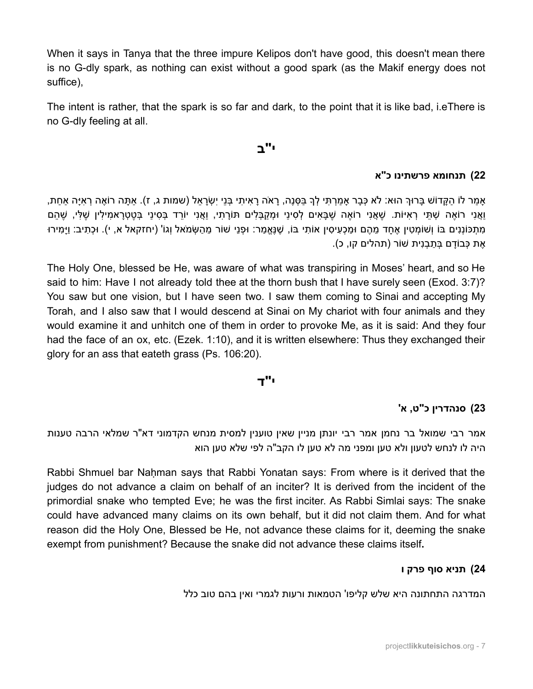When it says in Tanya that the three impure Kelipos don't have good, this doesn't mean there is no G-dly spark, as nothing can exist without a good spark (as the Makif energy does not suffice),

The intent is rather, that the spark is so far and dark, to the point that it is like bad, i.eThere is no G-dly feeling at all.

### **י"ב**

### **22( תנחומא פרשתינו כ"א**

ָאמַר לוֹ הַקָּדוֹשׁ בָּרוּךְ הוּא: לֹא כְּבָר אַמַרְתִּי לְךָ בַּסְנֵה, רָאֹה רָאִיתִי בְּנֵי יִשְׂרָאֵל (שמות ג, ז). אַתָּה רוֹאֶה רְאִיָּה אַחַת, וַאֲנִי רֹוֹאֶה שָׁתֵּי רְאִיּוֹת. שֶׁאֱנִי רוֹאֶה שֶׁבַּאִים לְסִינַי וּמְקַבְּלִים תּוֹרֵתִי, וַאֲנִי יוֹרֵד בְּסִינַי בְּטֶטְרַאמִילִין שָׁלִּי, שֶׁהֵם ַמְתִּכּוֹנְנִים בּוֹ וְשֹׁוֹמְטִין אֶחֲד מֶהֶם וּמַכְעִיסִין אוֹתִי בּוֹ, שֶׁנֶּאֱמַר: וּפָנֵי שׁוֹר מֵהַשְׂמֹאל וְגוֹ' (יחזקאל א, י). וּכְתִיב: וַיַּמִירוּ ּאֶת כָּבוֹדַם בְּתַבְנִית שׁוֹר (תהלים קו, כ).

The Holy One, blessed be He, was aware of what was transpiring in Moses' heart, and so He said to him: Have I not already told thee at the thorn bush that I have surely seen (Exod. 3:7)? You saw but one vision, but I have seen two. I saw them coming to Sinai and accepting My Torah, and I also saw that I would descend at Sinai on My chariot with four animals and they would examine it and unhitch one of them in order to provoke Me, as it is said: And they four had the face of an ox, etc. (Ezek. 1:10), and it is written elsewhere: Thus they exchanged their glory for an ass that eateth grass (Ps. 106:20).

#### **י"ד**

### **23( סנהדרין כ"ט, א'**

אמר רבי שמואל בר נחמן אמר רבי יונתן מניין שאין טוענין למסית מנחש הקדמוני דא"ר שמלאי הרבה טענות היה לו לנחש לטעון ולא טען ומפני מה לא טען לו הקב"ה לפי שלא טען הוא

Rabbi Shmuel bar Naḥman says that Rabbi Yonatan says: From where is it derived that the judges do not advance a claim on behalf of an inciter? It is derived from the incident of the primordial snake who tempted Eve; he was the first inciter. As Rabbi Simlai says: The snake could have advanced many claims on its own behalf, but it did not claim them. And for what reason did the Holy One, Blessed be He, not advance these claims for it, deeming the snake exempt from punishment? Because the snake did not advance these claims itself**.**

#### **24( תניא סוף פרק ו**

המדרגה התחתונה היא שלש קליפו' הטמאות ורעות לגמרי ואין בהם טוב כלל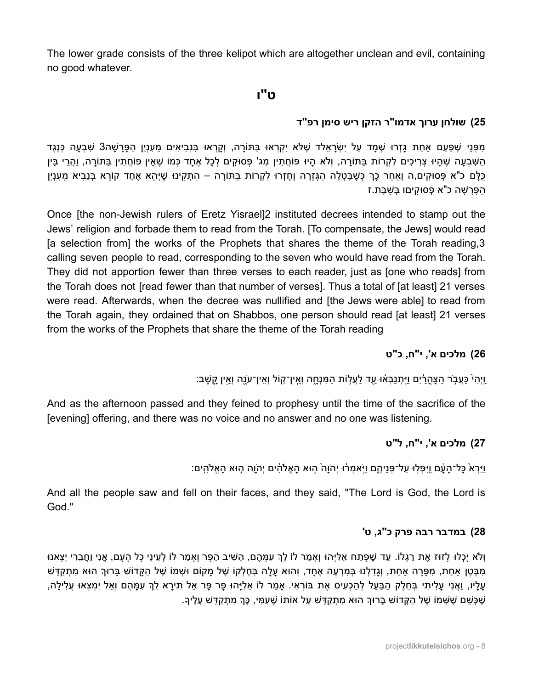The lower grade consists of the three kelipot which are altogether unclean and evil, containing no good whatever.

### **ט"ו**

### **25( שולחן ערוך אדמו"ר הזקן ריש סימן רפ"ד**

מּפָּנִי שֶׁפַּעַם אחַת גַּזְרוּ שָׁמַד עַל יִשְׂרַאלד שֶׁלֹּא יִקְרָאוּ בַּתּוֹרָה, וְקֵרְאוּ בַּנְבִיאים מַענְיַן הַפַּרְשָׁה3 שַׁבַעַה כָּנֵגֶד ַהַשְּׁבְעַה שֶׁהֵיוּ צְרִיכִים לְקָרוֹת בַּתּוֹרָה, וְלֹא הַיוּ פּוֹחֲתִין מִג' פְּסוּקִים לְכָל אֶחֲד כְּמוֹ שֶׁאֵין פּוֹחֲתִין בַּתּוֹרֵה, וַהֲרִי בֵּין ַּכְלֵּם כ"א פְּסוּקִים,ה וְאחַר כָּךְ כָּשֶׁבַּטְלַה הַגְּזֵרָה וְחַזְרוּ לְקָרוֹת בַּתּוֹרָה – הִתְקִינוּ שֶׁיָּהֵא אֶחַד קוֹרֵא בְּנַבִיא מֵענָיַן ַהַפַּרַשָׁה כ"א פָּסוּקִיםו בְּשֶׁבַּת.ז

Once [the non-Jewish rulers of Eretz Yisrael]2 instituted decrees intended to stamp out the Jews' religion and forbade them to read from the Torah. [To compensate, the Jews] would read [a selection from] the works of the Prophets that shares the theme of the Torah reading,3 calling seven people to read, corresponding to the seven who would have read from the Torah. They did not apportion fewer than three verses to each reader, just as [one who reads] from the Torah does not [read fewer than that number of verses]. Thus a total of [at least] 21 verses were read. Afterwards, when the decree was nullified and [the Jews were able] to read from the Torah again, they ordained that on Shabbos, one person should read [at least] 21 verses from the works of the Prophets that share the theme of the Torah reading

### **26( מלכים א', י"ח, כ"ט**

ַוְיָה<sup>ֶי</sup> כָּעֲבֹר הַצָּהַרִים וַיִּתְנַבְּאֹוּ עַד לַעֲלוֹת הַמִּנְחָה וְאֵין־קוֹל וְאִין־עֶׂנֶה וְאֵין קֵשֶׁב:

And as the afternoon passed and they feined to prophesy until the time of the sacrifice of the [evening] offering, and there was no voice and no answer and no one was listening.

### **27( מלכים א', י"ח, ל"ט**

וַיִּרָא כַּל־הַעֶּׁם וַיִּפָּלִוּ עַל־פָּנֵיהֵם וַיִּאמִרוּ יְהֹוֵה הוּא הַאֱלֹהִים יְהוֶה הִוּא הַאֱלֹהִים:

And all the people saw and fell on their faces, and they said, "The Lord is God, the Lord is God."

#### **28( במדבר רבה פרק כ"ג, ט'**

וְלֹא יָכְלוּ לַזוּז אֶת רַגְלוֹ. עַד שֶׁפֶּתַח אֶלִיַּהוּ וְאמַר לוֹ לֵךְ עָמַּהֶם, הֵשִׁיב הַפַּר וְאמַר לוֹ לְעֵינֵי כָל הַעַם, אֲנִי וַחֲבֵרִי יַצַאנוּ ַמְּבֵּטֶן אַחַת, מִפָּרָה אַחַת, וְגַדַלְנוּ בְּמִרְעֶה אֶחַד, וְהוּא עַלַה בְּחֵלְקוֹ שֶׁל מַקוֹם וּשָׁמוֹ שֶׁל הַקֵּדוֹשׁ בַּרוּךְ הוּא מִתְקַדֵּשׁ ַעֲלֵיו, וַאֱנִי עַלִיתִי בְּחֻלֶק הַבָּעַל לְהַכָעִיס אֶת בּוֹרָאִי. אמַר לוֹ אֵלְיָהוּ פֶּר פָּר אל תִּירַא לֵךְ עָמַהֶם וְאל יִמְצָאוּ עֵלִילַה, ָּשְׁכָּשֵׁם שֶׁשָּׁמוֹ שֶׁל הַקֵּדוֹשׁ בַּרוּךְ הוּא מִתְקַדֵּשׁ עַל אוֹתוֹ שֶׁעֲמִי, כַּךְ מִתְקַדָּשׁ עַלֵיך.